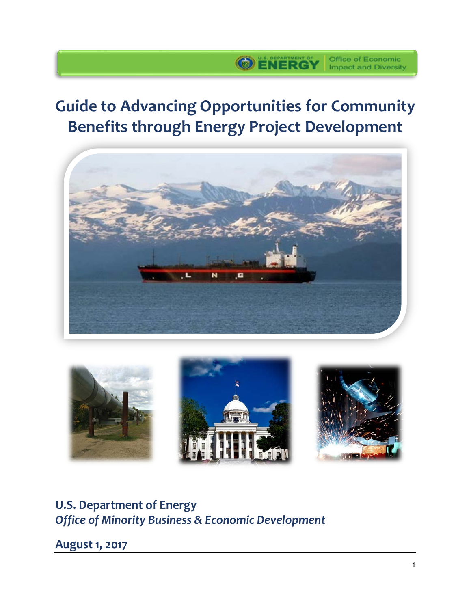# **Guide to Advancing Opportunities for Community Benefits through Energy Project Development**

**OENERGY Office of Economic** 





# **U.S. Department of Energy** *Office of Minority Business & Economic Development*

**August 1, 2017**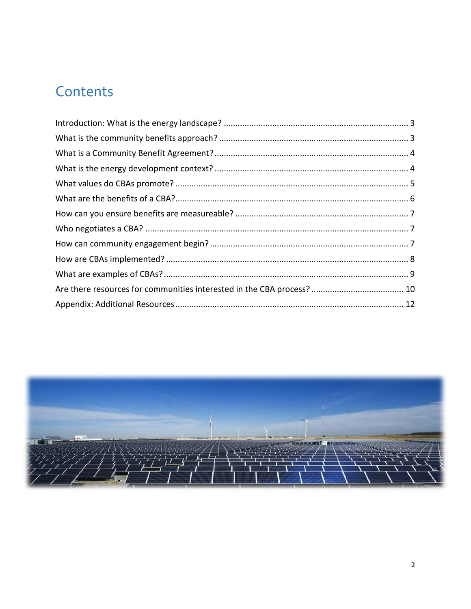# Contents

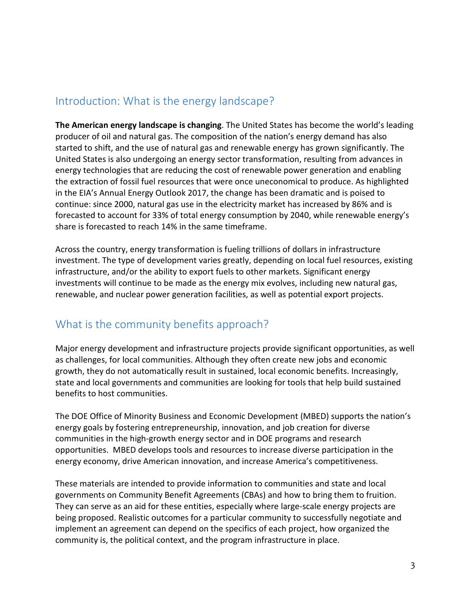### <span id="page-2-0"></span>Introduction: What is the energy landscape?

**The American energy landscape is changing**. The United States has become the world's leading producer of oil and natural gas. The composition of the nation's energy demand has also started to shift, and the use of natural gas and renewable energy has grown significantly. The United States is also undergoing an energy sector transformation, resulting from advances in energy technologies that are reducing the cost of renewable power generation and enabling the extraction of fossil fuel resources that were once uneconomical to produce. As highlighted in the EIA's Annual Energy Outlook 2017, the change has been dramatic and is poised to continue: since 2000, natural gas use in the electricity market has increased by 86% and is forecasted to account for 33% of total energy consumption by 2040, while renewable energy's share is forecasted to reach 14% in the same timeframe.

Across the country, energy transformation is fueling trillions of dollars in infrastructure investment. The type of development varies greatly, depending on local fuel resources, existing infrastructure, and/or the ability to export fuels to other markets. Significant energy investments will continue to be made as the energy mix evolves, including new natural gas, renewable, and nuclear power generation facilities, as well as potential export projects.

### <span id="page-2-1"></span>What is the community benefits approach?

Major energy development and infrastructure projects provide significant opportunities, as well as challenges, for local communities. Although they often create new jobs and economic growth, they do not automatically result in sustained, local economic benefits. Increasingly, state and local governments and communities are looking for tools that help build sustained benefits to host communities.

The DOE Office of Minority Business and Economic Development (MBED) supports the nation's energy goals by fostering entrepreneurship, innovation, and job creation for diverse communities in the high-growth energy sector and in DOE programs and research opportunities. MBED develops tools and resources to increase diverse participation in the energy economy, drive American innovation, and increase America's competitiveness.

These materials are intended to provide information to communities and state and local governments on Community Benefit Agreements (CBAs) and how to bring them to fruition. They can serve as an aid for these entities, especially where large-scale energy projects are being proposed. Realistic outcomes for a particular community to successfully negotiate and implement an agreement can depend on the specifics of each project, how organized the community is, the political context, and the program infrastructure in place.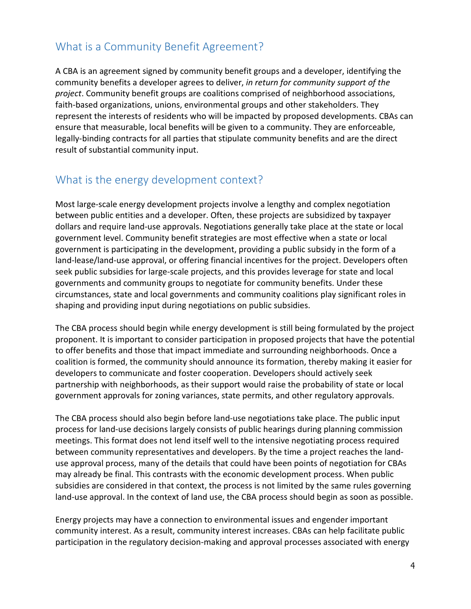# <span id="page-3-0"></span>What is a Community Benefit Agreement?

A CBA is an agreement signed by community benefit groups and a developer, identifying the community benefits a developer agrees to deliver, *in return for community support of the project*. Community benefit groups are coalitions comprised of neighborhood associations, faith-based organizations, unions, environmental groups and other stakeholders. They represent the interests of residents who will be impacted by proposed developments. CBAs can ensure that measurable, local benefits will be given to a community. They are enforceable, legally-binding contracts for all parties that stipulate community benefits and are the direct result of substantial community input.

### <span id="page-3-1"></span>What is the energy development context?

Most large-scale energy development projects involve a lengthy and complex negotiation between public entities and a developer. Often, these projects are subsidized by taxpayer dollars and require land-use approvals. Negotiations generally take place at the state or local government level. Community benefit strategies are most effective when a state or local government is participating in the development, providing a public subsidy in the form of a land-lease/land-use approval, or offering financial incentives for the project. Developers often seek public subsidies for large-scale projects, and this provides leverage for state and local governments and community groups to negotiate for community benefits. Under these circumstances, state and local governments and community coalitions play significant roles in shaping and providing input during negotiations on public subsidies.

The CBA process should begin while energy development is still being formulated by the project proponent. It is important to consider participation in proposed projects that have the potential to offer benefits and those that impact immediate and surrounding neighborhoods. Once a coalition is formed, the community should announce its formation, thereby making it easier for developers to communicate and foster cooperation. Developers should actively seek partnership with neighborhoods, as their support would raise the probability of state or local government approvals for zoning variances, state permits, and other regulatory approvals.

The CBA process should also begin before land-use negotiations take place. The public input process for land-use decisions largely consists of public hearings during planning commission meetings. This format does not lend itself well to the intensive negotiating process required between community representatives and developers. By the time a project reaches the landuse approval process, many of the details that could have been points of negotiation for CBAs may already be final. This contrasts with the economic development process. When public subsidies are considered in that context, the process is not limited by the same rules governing land-use approval. In the context of land use, the CBA process should begin as soon as possible.

Energy projects may have a connection to environmental issues and engender important community interest. As a result, community interest increases. CBAs can help facilitate public participation in the regulatory decision-making and approval processes associated with energy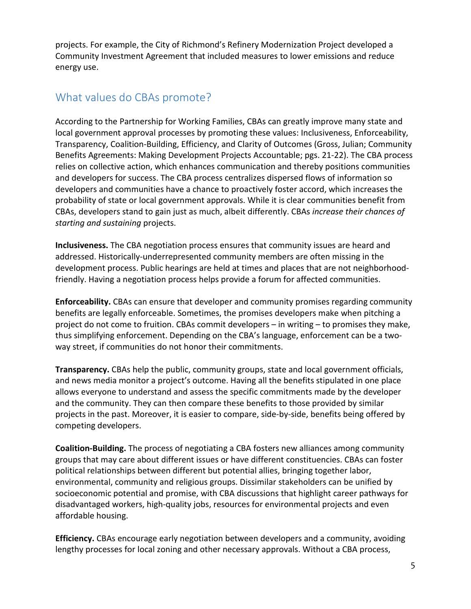projects. For example, the City of Richmond's Refinery Modernization Project developed a Community Investment Agreement that included measures to lower emissions and reduce energy use.

### <span id="page-4-0"></span>What values do CBAs promote?

According to the Partnership for Working Families, CBAs can greatly improve many state and local government approval processes by promoting these values: Inclusiveness, Enforceability, Transparency, Coalition-Building, Efficiency, and Clarity of Outcomes (Gross, Julian; Community Benefits Agreements: Making Development Projects Accountable; pgs. 21-22). The CBA process relies on collective action, which enhances communication and thereby positions communities and developers for success. The CBA process centralizes dispersed flows of information so developers and communities have a chance to proactively foster accord, which increases the probability of state or local government approvals. While it is clear communities benefit from CBAs, developers stand to gain just as much, albeit differently. CBAs *increase their chances of starting and sustaining* projects.

**Inclusiveness.** The CBA negotiation process ensures that community issues are heard and addressed. Historically-underrepresented community members are often missing in the development process. Public hearings are held at times and places that are not neighborhoodfriendly. Having a negotiation process helps provide a forum for affected communities.

**Enforceability.** CBAs can ensure that developer and community promises regarding community benefits are legally enforceable. Sometimes, the promises developers make when pitching a project do not come to fruition. CBAs commit developers – in writing – to promises they make, thus simplifying enforcement. Depending on the CBA's language, enforcement can be a twoway street, if communities do not honor their commitments.

**Transparency.** CBAs help the public, community groups, state and local government officials, and news media monitor a project's outcome. Having all the benefits stipulated in one place allows everyone to understand and assess the specific commitments made by the developer and the community. They can then compare these benefits to those provided by similar projects in the past. Moreover, it is easier to compare, side-by-side, benefits being offered by competing developers.

**Coalition-Building.** The process of negotiating a CBA fosters new alliances among community groups that may care about different issues or have different constituencies. CBAs can foster political relationships between different but potential allies, bringing together labor, environmental, community and religious groups. Dissimilar stakeholders can be unified by socioeconomic potential and promise, with CBA discussions that highlight career pathways for disadvantaged workers, high-quality jobs, resources for environmental projects and even affordable housing.

**Efficiency.** CBAs encourage early negotiation between developers and a community, avoiding lengthy processes for local zoning and other necessary approvals. Without a CBA process,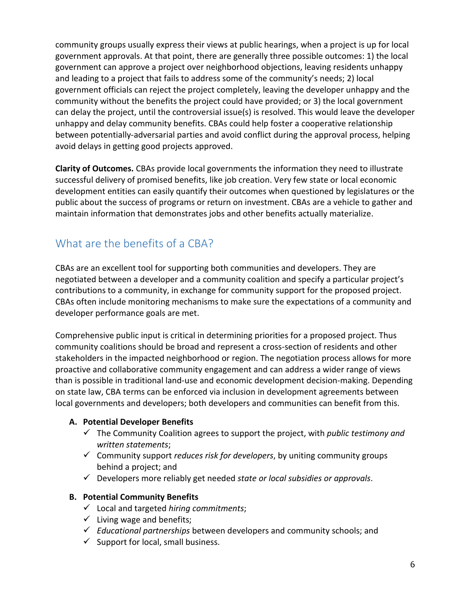community groups usually express their views at public hearings, when a project is up for local government approvals. At that point, there are generally three possible outcomes: 1) the local government can approve a project over neighborhood objections, leaving residents unhappy and leading to a project that fails to address some of the community's needs; 2) local government officials can reject the project completely, leaving the developer unhappy and the community without the benefits the project could have provided; or 3) the local government can delay the project, until the controversial issue(s) is resolved. This would leave the developer unhappy and delay community benefits. CBAs could help foster a cooperative relationship between potentially-adversarial parties and avoid conflict during the approval process, helping avoid delays in getting good projects approved.

**Clarity of Outcomes.** CBAs provide local governments the information they need to illustrate successful delivery of promised benefits, like job creation. Very few state or local economic development entities can easily quantify their outcomes when questioned by legislatures or the public about the success of programs or return on investment. CBAs are a vehicle to gather and maintain information that demonstrates jobs and other benefits actually materialize.

# <span id="page-5-0"></span>What are the benefits of a CBA?

CBAs are an excellent tool for supporting both communities and developers. They are negotiated between a developer and a community coalition and specify a particular project's contributions to a community, in exchange for community support for the proposed project. CBAs often include monitoring mechanisms to make sure the expectations of a community and developer performance goals are met.

Comprehensive public input is critical in determining priorities for a proposed project. Thus community coalitions should be broad and represent a cross-section of residents and other stakeholders in the impacted neighborhood or region. The negotiation process allows for more proactive and collaborative community engagement and can address a wider range of views than is possible in traditional land-use and economic development decision-making. Depending on state law, CBA terms can be enforced via inclusion in development agreements between local governments and developers; both developers and communities can benefit from this.

#### **A. Potential Developer Benefits**

- The Community Coalition agrees to support the project, with *public testimony and written statements*;
- Community support *reduces risk for developers*, by uniting community groups behind a project; and
- Developers more reliably get needed *state or local subsidies or approvals*.

#### **B. Potential Community Benefits**

- Local and targeted *hiring commitments*;
- $\checkmark$  Living wage and benefits;
- *Educational partnerships* between developers and community schools; and
- $\checkmark$  Support for local, small business.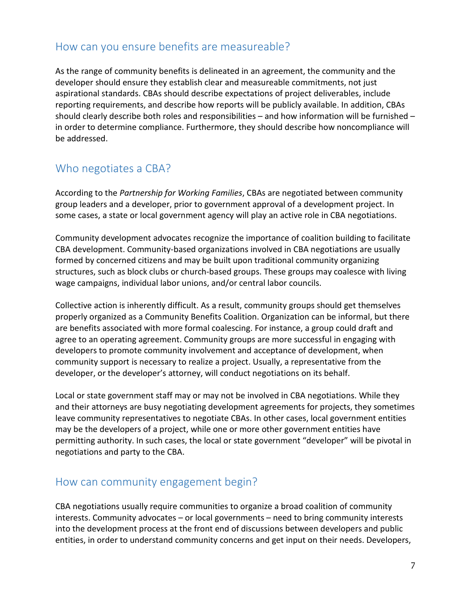### <span id="page-6-0"></span>How can you ensure benefits are measureable?

As the range of community benefits is delineated in an agreement, the community and the developer should ensure they establish clear and measureable commitments, not just aspirational standards. CBAs should describe expectations of project deliverables, include reporting requirements, and describe how reports will be publicly available. In addition, CBAs should clearly describe both roles and responsibilities – and how information will be furnished – in order to determine compliance. Furthermore, they should describe how noncompliance will be addressed.

# <span id="page-6-1"></span>Who negotiates a CBA?

According to the *Partnership for Working Families*, CBAs are negotiated between community group leaders and a developer, prior to government approval of a development project. In some cases, a state or local government agency will play an active role in CBA negotiations.

Community development advocates recognize the importance of coalition building to facilitate CBA development. Community-based organizations involved in CBA negotiations are usually formed by concerned citizens and may be built upon traditional community organizing structures, such as block clubs or church-based groups. These groups may coalesce with living wage campaigns, individual labor unions, and/or central labor councils.

Collective action is inherently difficult. As a result, community groups should get themselves properly organized as a Community Benefits Coalition. Organization can be informal, but there are benefits associated with more formal coalescing. For instance, a group could draft and agree to an operating agreement. Community groups are more successful in engaging with developers to promote community involvement and acceptance of development, when community support is necessary to realize a project. Usually, a representative from the developer, or the developer's attorney, will conduct negotiations on its behalf.

Local or state government staff may or may not be involved in CBA negotiations. While they and their attorneys are busy negotiating development agreements for projects, they sometimes leave community representatives to negotiate CBAs. In other cases, local government entities may be the developers of a project, while one or more other government entities have permitting authority. In such cases, the local or state government "developer" will be pivotal in negotiations and party to the CBA.

### <span id="page-6-2"></span>How can community engagement begin?

CBA negotiations usually require communities to organize a broad coalition of community interests. Community advocates – or local governments – need to bring community interests into the development process at the front end of discussions between developers and public entities, in order to understand community concerns and get input on their needs. Developers,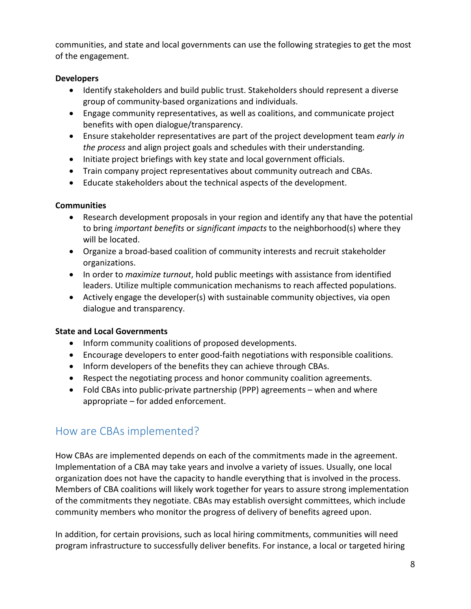communities, and state and local governments can use the following strategies to get the most of the engagement.

#### **Developers**

- Identify stakeholders and build public trust. Stakeholders should represent a diverse group of community-based organizations and individuals.
- Engage community representatives, as well as coalitions, and communicate project benefits with open dialogue/transparency.
- Ensure stakeholder representatives are part of the project development team *early in the process* and align project goals and schedules with their understanding.
- Initiate project briefings with key state and local government officials.
- Train company project representatives about community outreach and CBAs.
- Educate stakeholders about the technical aspects of the development.

#### **Communities**

- Research development proposals in your region and identify any that have the potential to bring *important benefits* or *significant impacts* to the neighborhood(s) where they will be located.
- Organize a broad-based coalition of community interests and recruit stakeholder organizations.
- In order to *maximize turnout*, hold public meetings with assistance from identified leaders. Utilize multiple communication mechanisms to reach affected populations.
- Actively engage the developer(s) with sustainable community objectives, via open dialogue and transparency.

#### **State and Local Governments**

- Inform community coalitions of proposed developments.
- Encourage developers to enter good-faith negotiations with responsible coalitions.
- Inform developers of the benefits they can achieve through CBAs.
- Respect the negotiating process and honor community coalition agreements.
- Fold CBAs into public-private partnership (PPP) agreements when and where appropriate – for added enforcement.

# <span id="page-7-0"></span>How are CBAs implemented?

How CBAs are implemented depends on each of the commitments made in the agreement. Implementation of a CBA may take years and involve a variety of issues. Usually, one local organization does not have the capacity to handle everything that is involved in the process. Members of CBA coalitions will likely work together for years to assure strong implementation of the commitments they negotiate. CBAs may establish oversight committees, which include community members who monitor the progress of delivery of benefits agreed upon.

In addition, for certain provisions, such as local hiring commitments, communities will need program infrastructure to successfully deliver benefits. For instance, a local or targeted hiring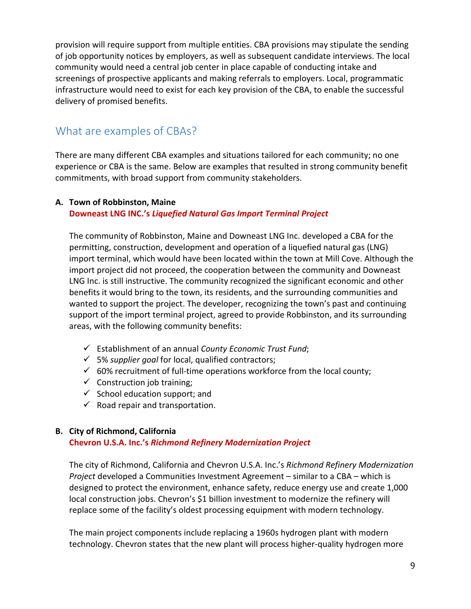provision will require support from multiple entities. CBA provisions may stipulate the sending of job opportunity notices by employers, as well as subsequent candidate interviews. The local community would need a central job center in place capable of conducting intake and screenings of prospective applicants and making referrals to employers. Local, programmatic infrastructure would need to exist for each key provision of the CBA, to enable the successful delivery of promised benefits.

### <span id="page-8-0"></span>What are examples of CBAs?

There are many different CBA examples and situations tailored for each community; no one experience or CBA is the same. Below are examples that resulted in strong community benefit commitments, with broad support from community stakeholders.

#### **A. Town of Robbinston, Maine**

#### **Downeast LNG INC.'s** *Liquefied Natural Gas Import Terminal Project*

The community of Robbinston, Maine and Downeast LNG Inc. developed a CBA for the permitting, construction, development and operation of a liquefied natural gas (LNG) import terminal, which would have been located within the town at Mill Cove. Although the import project did not proceed, the cooperation between the community and Downeast LNG Inc. is still instructive. The community recognized the significant economic and other benefits it would bring to the town, its residents, and the surrounding communities and wanted to support the project. The developer, recognizing the town's past and continuing support of the import terminal project, agreed to provide Robbinston, and its surrounding areas, with the following community benefits:

- Establishment of an annual *County Economic Trust Fund*;
- 5% *supplier goal* for local, qualified contractors;
- $60%$  recruitment of full-time operations workforce from the local county;
- $\checkmark$  Construction job training;
- $\checkmark$  School education support; and
- $\checkmark$  Road repair and transportation.

#### **B. City of Richmond, California**

#### **Chevron U.S.A. Inc.'s** *Richmond Refinery Modernization Project*

The city of Richmond, California and Chevron U.S.A. Inc.'s *Richmond Refinery Modernization Project* developed a Communities Investment Agreement – similar to a CBA – which is designed to protect the environment, enhance safety, reduce energy use and create 1,000 local construction jobs. Chevron's \$1 billion investment to modernize the refinery will replace some of the facility's oldest processing equipment with modern technology.

The main project components include replacing a 1960s hydrogen plant with modern technology. Chevron states that the new plant will process higher-quality hydrogen more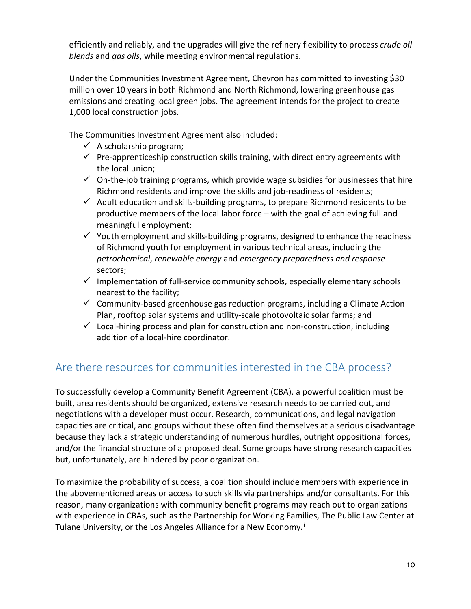efficiently and reliably, and the upgrades will give the refinery flexibility to process *crude oil blends* and *gas oils*, while meeting environmental regulations.

Under the Communities Investment Agreement, Chevron has committed to investing \$30 million over 10 years in both Richmond and North Richmond, lowering greenhouse gas emissions and creating local green jobs. The agreement intends for the project to create 1,000 local construction jobs.

The Communities Investment Agreement also included:

- $\checkmark$  A scholarship program;
- $\checkmark$  Pre-apprenticeship construction skills training, with direct entry agreements with the local union;
- $\checkmark$  On-the-job training programs, which provide wage subsidies for businesses that hire Richmond residents and improve the skills and job-readiness of residents;
- $\checkmark$  Adult education and skills-building programs, to prepare Richmond residents to be productive members of the local labor force – with the goal of achieving full and meaningful employment;
- $\checkmark$  Youth employment and skills-building programs, designed to enhance the readiness of Richmond youth for employment in various technical areas, including the *petrochemical*, *renewable energy* and *emergency preparedness and response* sectors;
- $\checkmark$  Implementation of full-service community schools, especially elementary schools nearest to the facility;
- $\checkmark$  Community-based greenhouse gas reduction programs, including a Climate Action Plan, rooftop solar systems and utility-scale photovoltaic solar farms; and
- $\checkmark$  Local-hiring process and plan for construction and non-construction, including addition of a local-hire coordinator.

# <span id="page-9-0"></span>Are there resources for communities interested in the CBA process?

To successfully develop a Community Benefit Agreement (CBA), a powerful coalition must be built, area residents should be organized, extensive research needs to be carried out, and negotiations with a developer must occur. Research, communications, and legal navigation capacities are critical, and groups without these often find themselves at a serious disadvantage because they lack a strategic understanding of numerous hurdles, outright oppositional forces, and/or the financial structure of a proposed deal. Some groups have strong research capacities but, unfortunately, are hindered by poor organization.

To maximize the probability of success, a coalition should include members with experience in the abovementioned areas or access to such skills via partnerships and/or consultants. For this reason, many organizations with community benefit programs may reach out to organizations with experience in CBAs, such as the Partnership for Working Families, The Public Law Center at Tulane University, or the Los Angeles Alliance for a New Economy**. [i](#page-12-0)**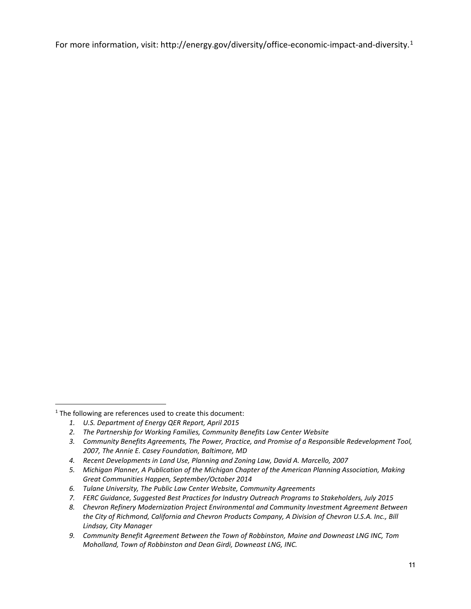For more information, visit: [http://energy.gov/diversity/office-economic-impact-and-diversity.](http://energy.gov/diversity/office-economic-impact-and-diversity)<sup>[1](#page-10-0)</sup>

<span id="page-10-0"></span><sup>&</sup>lt;sup>1</sup> The following are references used to create this document:

*<sup>1.</sup> U.S. Department of Energy QER Report, April 2015*

*<sup>2.</sup> The Partnership for Working Families, Community Benefits Law Center Website*

*<sup>3.</sup> Community Benefits Agreements, The Power, Practice, and Promise of a Responsible Redevelopment Tool, 2007, The Annie E. Casey Foundation, Baltimore, MD*

*<sup>4.</sup> Recent Developments in Land Use, Planning and Zoning Law, David A. Marcello, 2007*

*<sup>5.</sup> Michigan Planner, A Publication of the Michigan Chapter of the American Planning Association, Making Great Communities Happen, September/October 2014*

*<sup>6.</sup> Tulane University, The Public Law Center Website, Community Agreements*

*<sup>7.</sup> FERC Guidance, Suggested Best Practices for Industry Outreach Programs to Stakeholders, July 2015*

*<sup>8.</sup> Chevron Refinery Modernization Project Environmental and Community Investment Agreement Between the City of Richmond, California and Chevron Products Company, A Division of Chevron U.S.A. Inc., Bill Lindsay, City Manager*

*<sup>9.</sup> Community Benefit Agreement Between the Town of Robbinston, Maine and Downeast LNG INC, Tom Moholland, Town of Robbinston and Dean Girdi, Downeast LNG, INC.*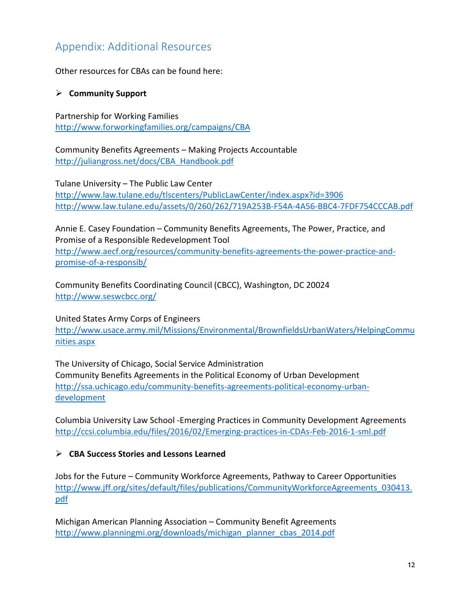# <span id="page-11-0"></span>Appendix: Additional Resources

Other resources for CBAs can be found here:

#### **Community Support**

Partnership for Working Families <http://www.forworkingfamilies.org/campaigns/CBA>

Community Benefits Agreements – Making Projects Accountable [http://juliangross.net/docs/CBA\\_Handbook.pdf](http://juliangross.net/docs/CBA_Handbook.pdf) 

Tulane University – The Public Law Center <http://www.law.tulane.edu/tlscenters/PublicLawCenter/index.aspx?id=3906> <http://www.law.tulane.edu/assets/0/260/262/719A253B-F54A-4A56-BBC4-7FDF754CCCAB.pdf>

Annie E. Casey Foundation – Community Benefits Agreements, The Power, Practice, and Promise of a Responsible Redevelopment Tool [http://www.aecf.org/resources/community-benefits-agreements-the-power-practice-and](http://www.aecf.org/resources/community-benefits-agreements-the-power-practice-and-promise-of-a-responsib/)[promise-of-a-responsib/](http://www.aecf.org/resources/community-benefits-agreements-the-power-practice-and-promise-of-a-responsib/)

Community Benefits Coordinating Council (CBCC), Washington, DC 20024 <http://www.seswcbcc.org/>

United States Army Corps of Engineers [http://www.usace.army.mil/Missions/Environmental/BrownfieldsUrbanWaters/HelpingCommu](http://www.usace.army.mil/Missions/Environmental/BrownfieldsUrbanWaters/HelpingCommunities.aspx) [nities.aspx](http://www.usace.army.mil/Missions/Environmental/BrownfieldsUrbanWaters/HelpingCommunities.aspx)

The University of Chicago, Social Service Administration Community Benefits Agreements in the Political Economy of Urban Development [http://ssa.uchicago.edu/community-benefits-agreements-political-economy-urban](http://ssa.uchicago.edu/community-benefits-agreements-political-economy-urban-development)[development](http://ssa.uchicago.edu/community-benefits-agreements-political-economy-urban-development)

Columbia University Law School -Emerging Practices in Community Development Agreements <http://ccsi.columbia.edu/files/2016/02/Emerging-practices-in-CDAs-Feb-2016-1-sml.pdf>

#### **CBA Success Stories and Lessons Learned**

Jobs for the Future – Community Workforce Agreements, Pathway to Career Opportunities [http://www.jff.org/sites/default/files/publications/CommunityWorkforceAgreements\\_030413.](http://www.jff.org/sites/default/files/publications/CommunityWorkforceAgreements_030413.pdf) [pdf](http://www.jff.org/sites/default/files/publications/CommunityWorkforceAgreements_030413.pdf)

Michigan American Planning Association – Community Benefit Agreements [http://www.planningmi.org/downloads/michigan\\_planner\\_cbas\\_2014.pdf](http://www.planningmi.org/downloads/michigan_planner_cbas_2014.pdf)